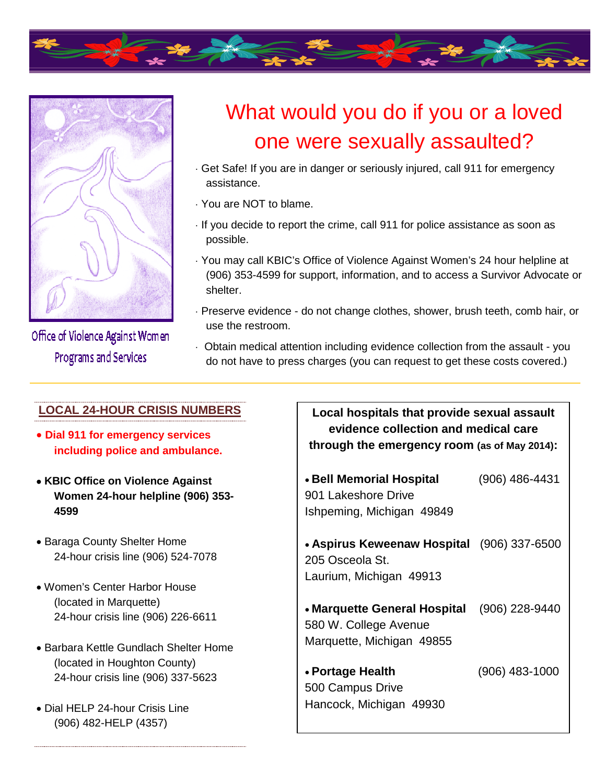



Office of Violence Against Women **Programs and Services** 

## What would you do if you or a loved one were sexually assaulted?

- · Get Safe! If you are in danger or seriously injured, call 911 for emergency assistance.
- · You are NOT to blame.
- · If you decide to report the crime, call 911 for police assistance as soon as possible.
- · You may call KBIC's Office of Violence Against Women's 24 hour helpline at (906) 353-4599 for support, information, and to access a Survivor Advocate or shelter.
- · Preserve evidence do not change clothes, shower, brush teeth, comb hair, or use the restroom.
- · Obtain medical attention including evidence collection from the assault you do not have to press charges (you can request to get these costs covered.)

|                                                                              | <b>LOCAL 24-HOUR CRISIS NUMBERS</b><br>Local hospitals that provide sexual assault<br>evidence collection and medical care       |  |
|------------------------------------------------------------------------------|----------------------------------------------------------------------------------------------------------------------------------|--|
|                                                                              | • Dial 911 for emergency services<br>through the emergency room (as of May 2014):<br>including police and ambulance.             |  |
| • Bell Memorial Hospital<br>901 Lakeshore Drive<br>Ishpeming, Michigan 49849 | (906) 486-4431<br>• KBIC Office on Violence Against<br>Women 24-hour helpline (906) 353-<br>4599                                 |  |
| 205 Osceola St.<br>Laurium, Michigan 49913                                   | • Baraga County Shelter Home<br>• Aspirus Keweenaw Hospital (906) 337-6500<br>24-hour crisis line (906) 524-7078                 |  |
| • Marquette General Hospital<br>580 W. College Avenue                        | • Women's Center Harbor House<br>(located in Marquette)<br>$(906)$ 228-9440<br>24-hour crisis line (906) 226-6611                |  |
| Marquette, Michigan 49855<br>• Portage Health<br>500 Campus Drive            | • Barbara Kettle Gundlach Shelter Home<br>(located in Houghton County)<br>$(906)$ 483-1000<br>24-hour crisis line (906) 337-5623 |  |
| Hancock, Michigan 49930                                                      | • Dial HELP 24-hour Crisis Line<br>(906) 482-HELP (4357)                                                                         |  |